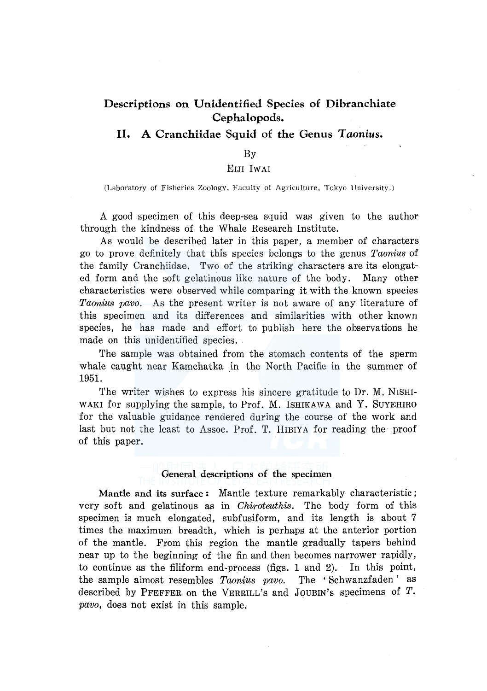# Descriptions on Unidentified Species of Dibranchiate Cephalopods.

## II. A Cranchiidae Squid of the Genus *Taonius.*

### By

### EIJI IWAI

(Laboratory of Fisheries Zoology, Faculty of Agriculture, Tokyo University.)

A good specimen of this deep-sea squid was given to the author through the kindness of the Whale Research Institute.

As would be described later in this paper, a member of characters go to prove definitely that this species belongs to the genus *Taonius* of the family Cranchiidae. Two of the striking characters are its elongated form and the soft gelatinous like nature of the body. Many other characteristics were observed while comparing it with the known species *Taonius pavo.* As the present writer is not aware of any literature of this specimen and its differences and similarities with other known species, he has made and effort to publish here the observations he made on this unidentified species.

The sample was obtained from the stomach contents of the sperm whale caught near Kamchatka in the North Pacific in the summer of 1951.

The writer wishes to express his sincere gratitude to Dr. M. NISHI-WAKI for supplying the sample, to Prof. M. ISHIKAWA and Y. SUYEHIRO for the valuable guidance rendered during the course of the work and last but not the least to Assoc. Prof. T. HIBIYA for reading the proof of this paper.

### General descriptions of the specimen

Mantle and its surface: Mantle texture remarkably characteristic; very soft and gelatinous as in *Chiroteuthis.* The body form of this specimen is much elongated, subfusiform, and its length is about 7 times the maximum breadth, which is perhaps at the anterior portion of the mantle. From this region the mantle gradually tapers behind near up to the beginning of the fin and then becomes narrower rapidly, to continue as the filiform end-process (figs. 1 and 2). In this point, the sample almost resembles *Taonius pavo*. The 'Schwanzfaden' as described by PFEFFER on the VERRILL's and JoUBIN's specimens of T. *pavo,* does not exist in this sample.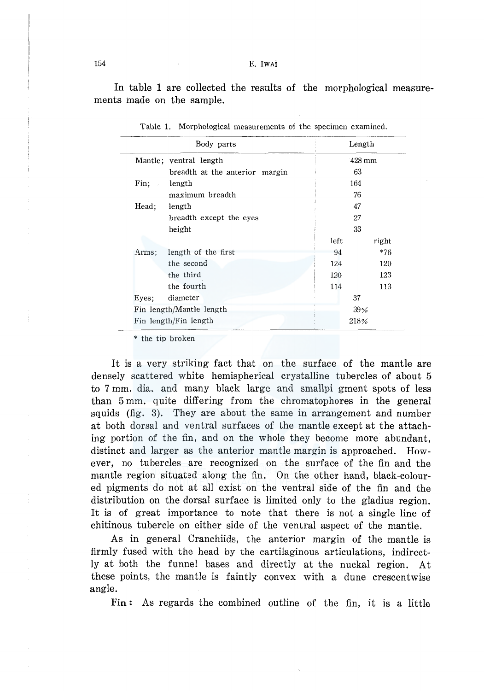In table 1 are collected the results of the morphological measurements made on the sample.

| Body parts               |                                | Length |       |
|--------------------------|--------------------------------|--------|-------|
|                          | Mantle: yentral length         | 428 mm |       |
|                          | breadth at the anterior margin | 63     |       |
| $\text{Fin}:$            | length                         | 164    |       |
|                          | maximum breadth                | 76     |       |
| Head;                    | length                         | 47     |       |
|                          | breadth except the eyes        | 27     |       |
|                          | height                         | 33     |       |
|                          |                                | left   | right |
| Arms;                    | length of the first            | 94     | $*76$ |
|                          | the second                     | 124    | 120   |
|                          | the third                      | 120    | 123   |
|                          | the fourth                     | 114    | 113   |
| Eyes;                    | diameter                       | 37     |       |
| Fin length/Mantle length |                                | 39%    |       |
| Fin length/Fin length    |                                | 218%   |       |

Table 1. Morphological measurements of the specimen examined.

\* the tip broken

It is a very striking fact that on the surface of the mantle are densely scattered white hemispherical crystalline tubercles of about 5 to 7 mm. dia. and many black large and smallpi gment spots of less than 5 mm. quite differing from the chromatophores in the general squids (fig. 3). They are about the same in arrangement and number at both dorsal and ventral surfaces of the mantle except at the attaching portion of the fin, and on the whole they become more abundant, distinct and larger as the anterior mantle margin is approached. However, no tubercles are recognized on the surface of the fin and the mantle region situated along the fin. On the other hand, black-coloured pigments do not at all exist on the ventral side of the fin and the distribution on the dorsal surface is limited only to the gladius region. It is of great importance to note that there is not a single line of chitinous tubercle on either side of the ventral aspect of the mantle.

As in general Cranchiids, the anterior margin of the mantle is firmly fused with the head by the cartilaginous articulations, indirectly at both the funnel bases and directly at the nuckal region. At these points, the mantle is faintly convex with a dune crescentwise angle.

**Fin:** As regards the combined outline of the fin, it is a little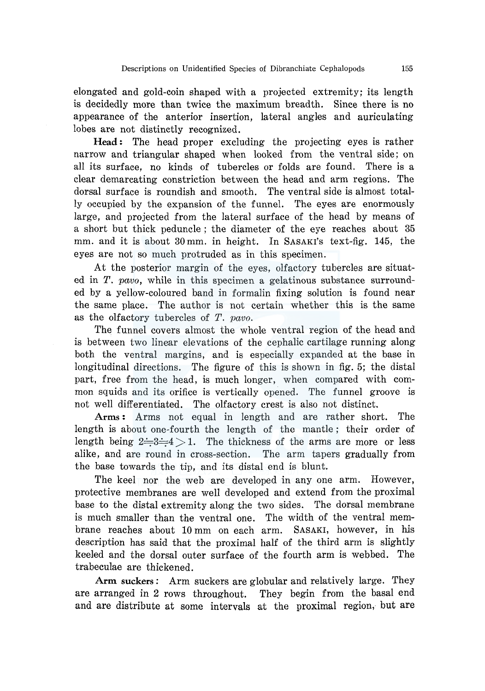elongated and gold-coin shaped with a projected extremity; its length is decidedly more than twice the maximum breadth. Since there is no appearance of the anterior insertion, lateral angles and auriculating lobes are not distinctly recognized.

**Head:** The head proper excluding the projecting eyes is rather narrow and triangular shaped when looked from the ventral side; on all its surface, no kinds of tubercles or folds are found. There is a clear demarcating constriction between the head and arm regions. The dorsal surface is roundish and smooth. The ventral side is almost totally occupied by the expansion of the funnel. The eyes are enormously large, and projected from the lateral surface of the head by means of a short but thick peduncle ; the diameter of the eye reaches about 35 mm. and it is about 30 mm. in height. In SASAKI's text-fig. 145, the eyes are not so much protruded as in this specimen.

At the posterior margin of the eyes, olfactory tubercles are situated in  $T$ . pavo, while in this specimen a gelatinous substance surrounded by a yellow-coloured band in formalin fixing solution is found near the same place. The author is not certain whether this is the same as the olfactory tubercles of  $T$ . pavo.

The funnel covers almost the whole ventral region of the head and is between two linear elevations of the cephalic cartilage running along both the ventral margins, and is especially expanded at the base in longitudinal directions. The figure of this is shown in fig. 5; the distal part, free from the head, is much longer, when compared with common squids and its orifice is vertically opened. The funnel groove is not well differentiated. The olfactory crest is also not distinct.

Arms: Arms not equal in length and are rather short. The length is about one-fourth the length of the mantle; their order of length being  $2 = 3 - 4 > 1$ . The thickness of the arms are more or less alike, and are round in cross-section. The arm tapers gradually from the base towards the tip, and its distal end is blunt.

The keel nor the web are developed in any one arm. However, protective membranes are well developed and extend from the proximal base to the distal extremity along the two sides. The dorsal membrane is much smaller than the ventral one. The width of the ventral membrane reaches about 10 mm on each arm. SASAKI, however, in his description has said that the proximal half of the third arm is slightly keeled and the dorsal outer surface of the fourth arm is webbed. The trabeculae are thickened.

**Arm** suckers: Arm suckers are globular and relatively large. They are arranged in 2 rows throughout. They begin from the basal end and are distribute at some intervals at the proximal region, but are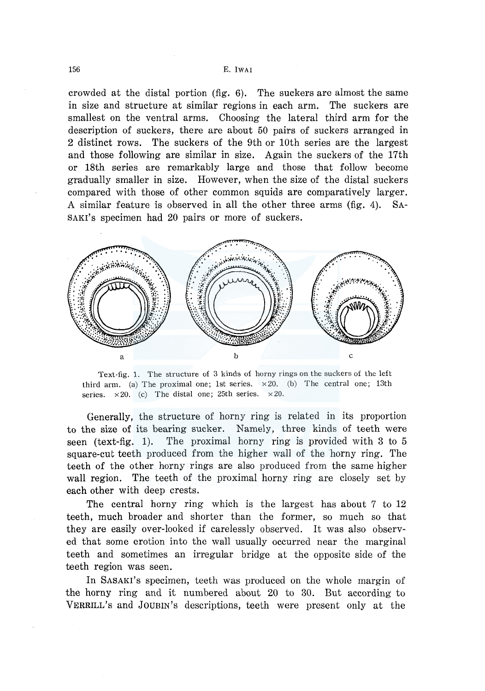#### 156 E. lWAI

crowded at the distal portion (fig. 6). The suckers are almost the same in size and structure at similar regions in each arm. The suckers are smallest on the ventral arms. Choosing the lateral third arm for the description of suckers, there are about 50 pairs of suckers arranged in 2 distinct rows. The suckers of the 9th or lOth series are the largest and those following are similar in size. Again the suckers of the 17th or 18th series are remarkably large and those that follow become gradually smaller in size. However, when the size of the distal suckers compared with those of other common squids are comparatively larger. A similar feature is observed in all the other three arms (fig. 4). SA-SAKI's specimen had 20 pairs or more of suckers.



Text-fig. 1. The structure of 3 kinds of horny rings on the suckers of the left third arm. (a) The proximal one; 1st series.  $\times 20$ . (b) The central one; 13th series.  $\times 20$ . (c) The distal one; 25th series.  $\times 20$ .

Generally, the structure of horny ring is related in its proportion to the size of its bearing sucker. Namely, three kinds of teeth were seen (text-fig. 1). The proximal horny ring is provided with 3 to 5 square-cut teeth produced from the higher wall of the horny ring. The teeth of the other horny rings are also produced from the same higher wall region. The teeth of the proximal horny ring are closely set by each other with deep crests.

The central horny ring which is the largest has about 7 to 12 teeth, much broader and shorter than the former, so much so that they are easily over-looked if carelessly observed. It was also observed that some erotion into the wall usually occurred near the marginal teeth and sometimes an irregular bridge at the opposite side of the teeth region was seen.

In SASAKI's specimen, teeth was produced on the whole margin of the horny ring and it numbered about 20 to 30. But according to VERRILL's and JOUBIN's descriptions, teeth were present only at the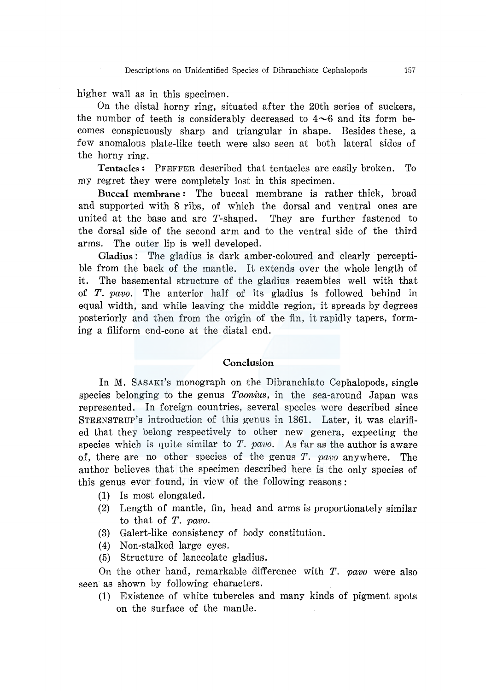higher wall as in this specimen.

On the distal horny ring, situated after the 20th series of suckers, the number of teeth is considerably decreased to  $4\neg 6$  and its form becomes conspicuously sharp and triangular in shape. Besides these, a few anomalous plate-like teeth were also seen at both lateral sides of the horny ring.

Tentacles: PFEFFER described that tentacles are easily broken. To my regret they were completely lost in this specimen.

Buccal membrane: The buccal membrane is rather thick, broad and supported with 8 ribs, of which the dorsal and ventral ones are united at the base and are T-shaped. They are further fastened to the dorsal side of the second arm and to the ventral side of the third arms. The outer lip is well developed.

Gladius: The gladius is dark amber-coloured and clearly perceptible from the back of the mantle. It extends over the whole length of it. The basemental structure of the gladius resembles well with that of *T. pavo.* The anterior half of its gladius is followed behind in equal width, and while leaving the middle region, it spreads by degrees posteriorly and then from the origin of the fin, it rapidly tapers, forming a filiform end-cone at the distal end.

### Conclusion

In M. SASAKI's monograph on the Dibranchiate Cephalopods, single species belonging to the genus *Taonius,* in the sea-around Japan was represented. In foreign countries, several species were described since STEENSTRUP's introduction of this genus in 1861. Later, it was clarified that they belong respectively to other new genera, expecting the species which is quite similar to *T. pavo.* As far as the author is aware of, there are no other species of the genus *T. pavo* anywhere. The author believes that the specimen described here is the only species of this genus ever found, in view of the following reasons :

- (1) Is most elongated.
- (2) Length of mantle, fin, head and arms is proportionately similar to that of *T. pavo.*
- (3) Galert-like consistency of body constitution.
- (4) Non-stalked large eyes.
- (5) Structure of lanceolate gladius.

On the other hand, remarkable difference with *T. pavo* were also seen as shown by following characters.

(1) Existence of white tubercles and many kinds of pigment spots on the surface of the mantle.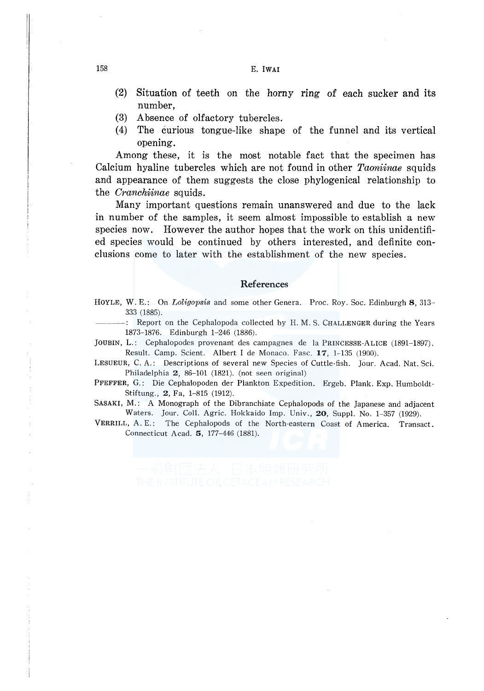### 158 E. lWAI

- (2) Situation of teeth on the horny ring of each sucker and its number,
- (3) Absence of olfactory tubercles.
- (4) The curious tongue-like shape of the funnel and its vertical opening.

Among these, it is the most notable fact that the specimen has Calcium hyaline tubercles which are not found in other *Taoniinae* squids and appearance of them suggests the close phylogenical relationship to the *Cranckiinae* squids.

Many important questions remain unanswered and due to the lack in number of the samples, it seem almost impossible to establish a new species now. However the author hopes that the work on this unidentified species would be continued by others interested, and definite conclusions come to later with the establishment of the new species.

#### References

HOYLE, W. E.: On *Loligopsis* and some other Genera. Proc. Roy. Soc. Edinburgh 8, 313- 333 (1885).

-: Report on the Cephalopoda collected by H. M. S. CHALLENGER during the Years 1873-1876. Edinburgh 1-246 (1886).

JOUBIN, L.: Cephalopodes provenant des campagnes de la PRINCESSE-ALICE (1891-1897). Result. Camp. Scient. Albert I de Monaco. Fasc. 17, 1-135 (1900).

- LESUEUR, C. A.: Descriptions of several new Species of Cuttle-fish. Jour. Acad. Nat. Sci. Philadelphia 2, 86-101 (1821). (not seen original)
- PFEFFER, G.: Die Cephalopoden der Plankton Expedition. Ergeb. Plank. Exp. Humboldt· Stiftung., 2, Fa, 1-815 (1912).
- SASAKI, M.: A Monograph of the Dibranchiate Cephalopods of the Japanese and adjacent Waters. Jour. Coll. Agric. Hokkaido Imp. Univ., 20, Suppl. No. 1-357 (1929).

VERRILL, A. E.: The Cephalopods of the North-eastern Coast of America. Transact. Connecticut Acad. 5, 177-446 (1881).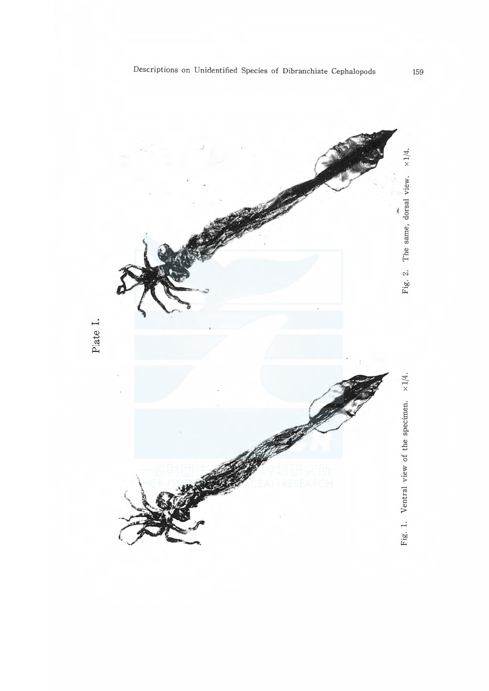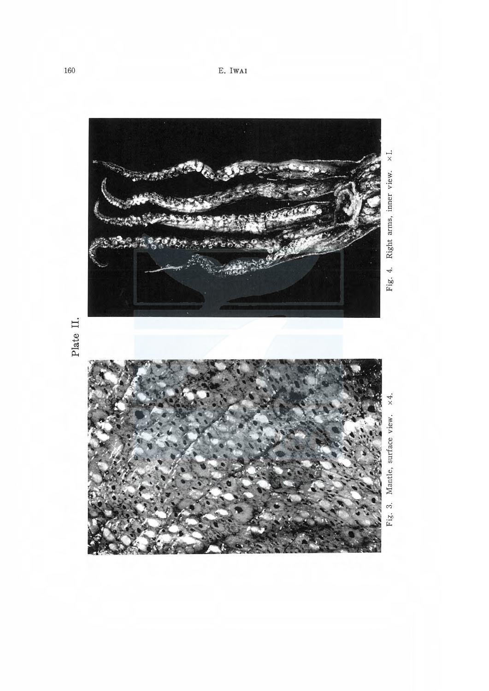